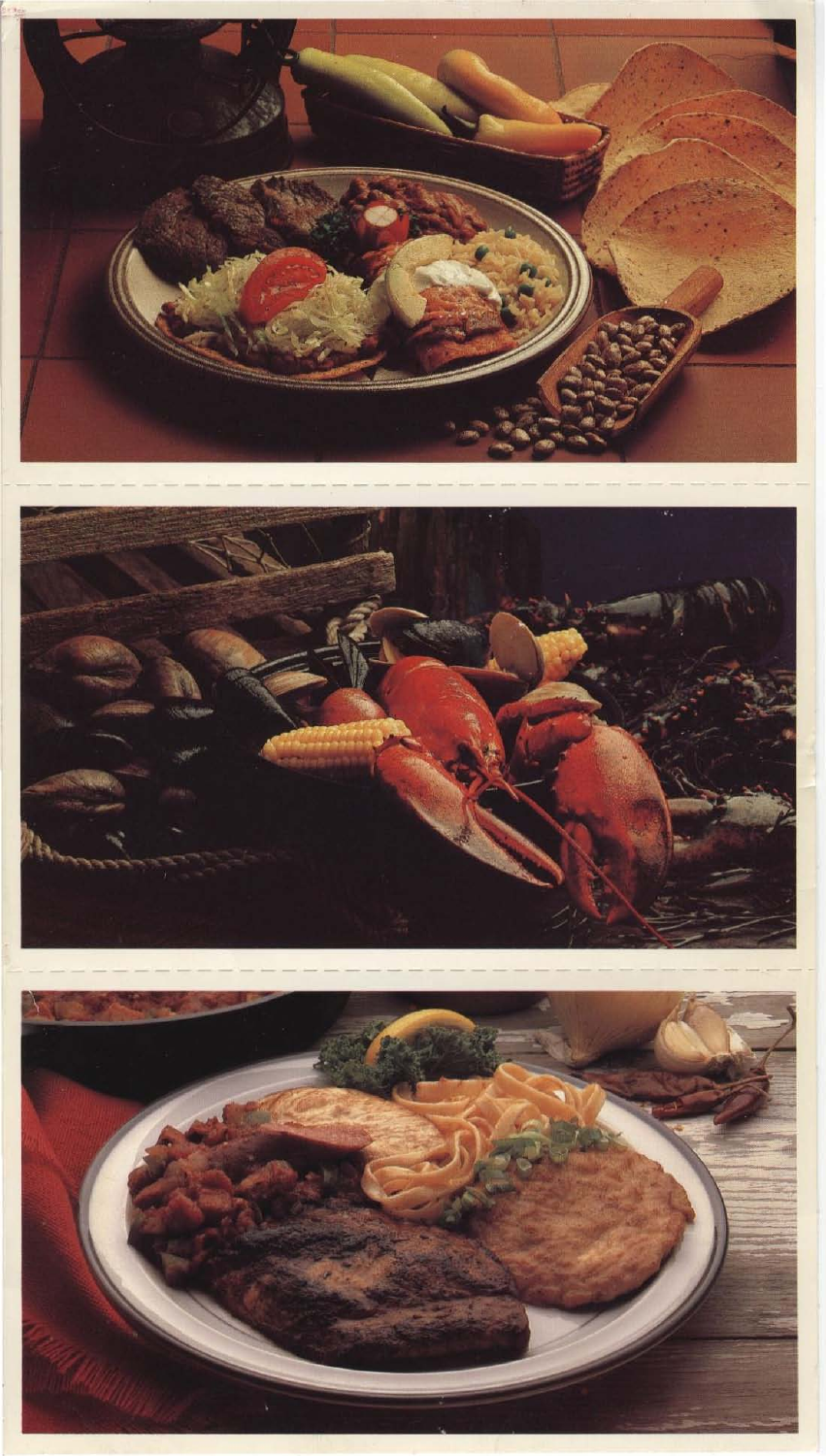